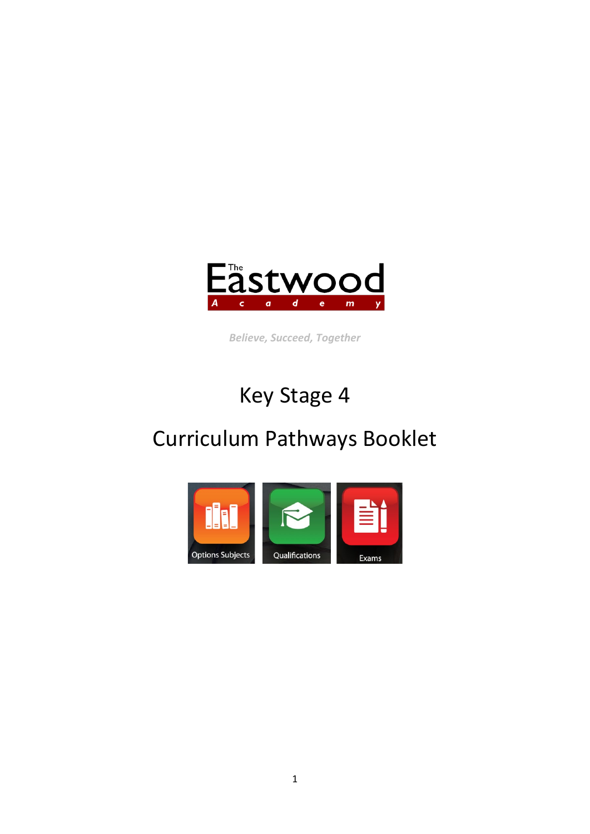

*Believe, Succeed, Together*

# Key Stage 4

# Curriculum Pathways Booklet

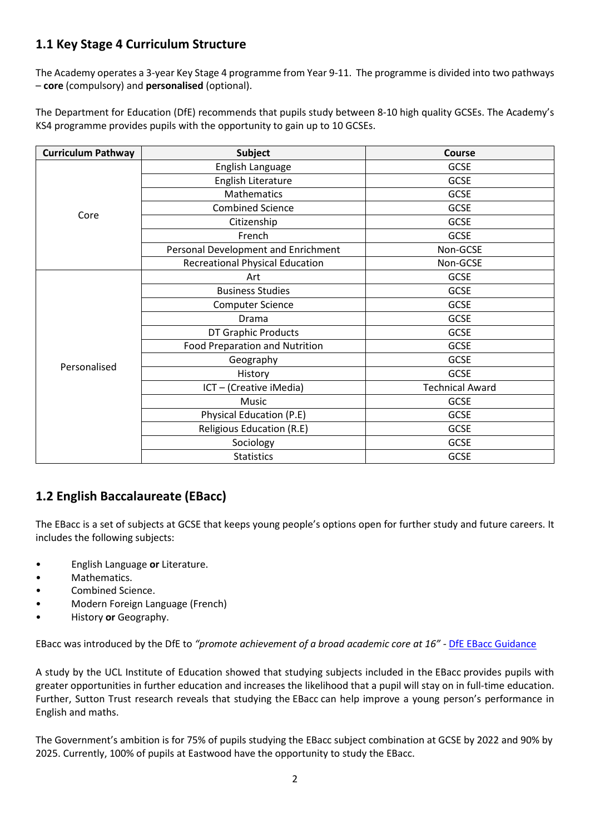# **1.1 Key Stage 4 Curriculum Structure**

The Academy operates a 3-year Key Stage 4 programme from Year 9-11. The programme is divided into two pathways – **core** (compulsory) and **personalised** (optional).

The Department for Education (DfE) recommends that pupils study between 8-10 high quality GCSEs. The Academy's KS4 programme provides pupils with the opportunity to gain up to 10 GCSEs.

| <b>Curriculum Pathway</b> | <b>Subject</b>                         | Course                 |
|---------------------------|----------------------------------------|------------------------|
| Core                      | English Language                       | <b>GCSE</b>            |
|                           | English Literature                     | <b>GCSE</b>            |
|                           | <b>Mathematics</b>                     | <b>GCSE</b>            |
|                           | <b>Combined Science</b>                | <b>GCSE</b>            |
|                           | Citizenship                            | <b>GCSE</b>            |
|                           | French                                 | <b>GCSE</b>            |
|                           | Personal Development and Enrichment    | Non-GCSE               |
|                           | <b>Recreational Physical Education</b> | Non-GCSE               |
| Personalised              | Art                                    | <b>GCSE</b>            |
|                           | <b>Business Studies</b>                | <b>GCSE</b>            |
|                           | <b>Computer Science</b>                | <b>GCSE</b>            |
|                           | Drama                                  | <b>GCSE</b>            |
|                           | <b>DT Graphic Products</b>             | <b>GCSE</b>            |
|                           | <b>Food Preparation and Nutrition</b>  | <b>GCSE</b>            |
|                           | Geography                              | <b>GCSE</b>            |
|                           | History                                | <b>GCSE</b>            |
|                           | ICT - (Creative iMedia)                | <b>Technical Award</b> |
|                           | Music                                  | <b>GCSE</b>            |
|                           | Physical Education (P.E)               | <b>GCSE</b>            |
|                           | Religious Education (R.E)              | <b>GCSE</b>            |
|                           | Sociology                              | GCSE                   |
|                           | <b>Statistics</b>                      | <b>GCSE</b>            |

# **1.2 English Baccalaureate (EBacc)**

The EBacc is a set of subjects at GCSE that keeps young people's options open for further study and future careers. It includes the following subjects:

- English Language **or** Literature.
- Mathematics.
- Combined Science.
- Modern Foreign Language (French)
- History **or** Geography.

EBacc was introduced by the DfE to *"promote achievement of a broad academic core at 16" -* [DfE EBacc Guidance](https://www.gov.uk/government/publications/english-baccalaureate-ebacc/english-baccalaureate-ebacc)

A study by the UCL Institute of Education showed that studying subjects included in the EBacc provides pupils with greater opportunities in further education and increases the likelihood that a pupil will stay on in full-time education. Further, Sutton Trust research reveals that studying the EBacc can help improve a young person's performance in English and maths.

The Government's ambition is for 75% of pupils studying the EBacc subject combination at GCSE by 2022 and 90% by 2025. Currently, 100% of pupils at Eastwood have the opportunity to study the EBacc.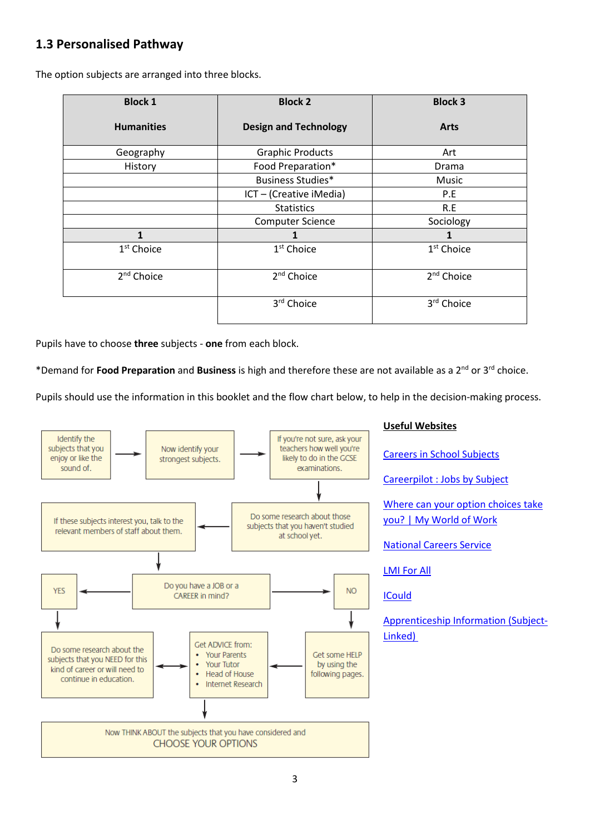# **1.3 Personalised Pathway**

The option subjects are arranged into three blocks.

| <b>Block 1</b>         | <b>Block 2</b>               | <b>Block 3</b>         |
|------------------------|------------------------------|------------------------|
| <b>Humanities</b>      | <b>Design and Technology</b> | <b>Arts</b>            |
| Geography              | <b>Graphic Products</b>      | Art                    |
| History                | Food Preparation*            | Drama                  |
|                        | Business Studies*            | Music                  |
|                        | ICT - (Creative iMedia)      | P.E                    |
|                        | <b>Statistics</b>            | R.E                    |
|                        | <b>Computer Science</b>      | Sociology              |
| 1                      |                              |                        |
| $1st$ Choice           | $1st$ Choice                 | $1st$ Choice           |
| 2 <sup>nd</sup> Choice | 2 <sup>nd</sup> Choice       | 2 <sup>nd</sup> Choice |
|                        | 3rd Choice                   | 3rd Choice             |

Pupils have to choose **three** subjects - **one** from each block.

\*Demand for **Food Preparation** and **Business** is high and therefore these are not available as a 2nd or 3rd choice.

Pupils should use the information in this booklet and the flow chart below, to help in the decision-making process.

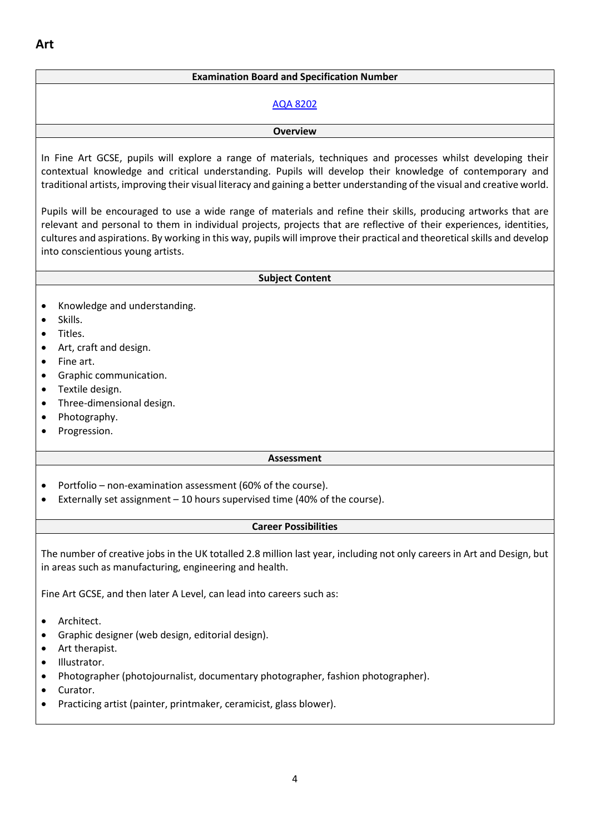# **Art**

# **Examination Board and Specification Number**

# [AQA 8202](http://filestore.aqa.org.uk/resources/art-and-design/specifications/AQA-ART-GCSE-SP-2016.PDF)

# **Overview**

In Fine Art GCSE, pupils will explore a range of materials, techniques and processes whilst developing their contextual knowledge and critical understanding. Pupils will develop their knowledge of contemporary and traditional artists, improving their visual literacy and gaining a better understanding of the visual and creative world.

Pupils will be encouraged to use a wide range of materials and refine their skills, producing artworks that are relevant and personal to them in individual projects, projects that are reflective of their experiences, identities, cultures and aspirations. By working in this way, pupils will improve their practical and theoretical skills and develop into conscientious young artists.

#### **Subject Content**

- Knowledge and understanding.
- Skills.
- Titles.
- Art, craft and design.
- Fine art.
- Graphic communication.
- Textile design.
- Three-dimensional design.
- Photography.
- Progression.

# **Assessment**

- Portfolio non-examination assessment (60% of the course).
- Externally set assignment  $-10$  hours supervised time (40% of the course).

# **Career Possibilities**

The number of creative jobs in the UK totalled 2.8 million last year, including not only careers in Art and Design, but in areas such as manufacturing, engineering and health.

Fine Art GCSE, and then later A Level, can lead into careers such as:

- Architect.
- Graphic designer (web design, editorial design).
- Art therapist.
- Illustrator.
- Photographer (photojournalist, documentary photographer, fashion photographer).
- Curator.
- Practicing artist (painter, printmaker, ceramicist, glass blower).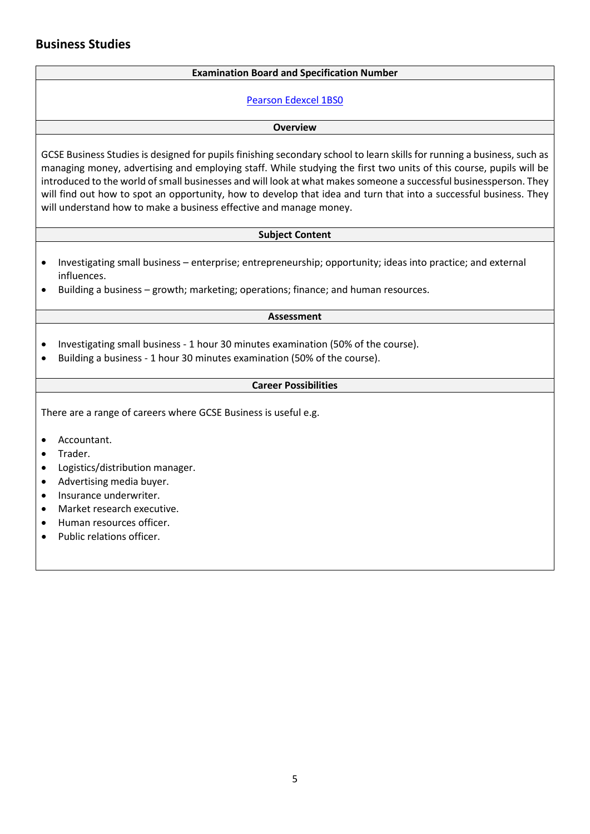# **Business Studies**

# **Examination Board and Specification Number**

# [Pearson Edexcel 1BS0](https://qualifications.pearson.com/content/dam/pdf/GCSE/Business/2017/specification-and-sample-assessments/GCSE_Business_Spec_2017.pdf)

#### **Overview**

GCSE Business Studies is designed for pupils finishing secondary school to learn skills for running a business, such as managing money, advertising and employing staff. While studying the first two units of this course, pupils will be introduced to the world of small businesses and will look at what makes someone a successful businessperson. They will find out how to spot an opportunity, how to develop that idea and turn that into a successful business. They will understand how to make a business effective and manage money.

# **Subject Content**

- Investigating small business enterprise; entrepreneurship; opportunity; ideas into practice; and external influences.
- Building a business growth; marketing; operations; finance; and human resources.

# **Assessment**

- Investigating small business 1 hour 30 minutes examination (50% of the course).
- Building a business 1 hour 30 minutes examination (50% of the course).

#### **Career Possibilities**

There are a range of careers where GCSE Business is useful e.g.

- Accountant.
- Trader.
- Logistics/distribution manager.
- Advertising media buyer.
- Insurance underwriter.
- Market research executive.
- Human resources officer.
- Public relations officer.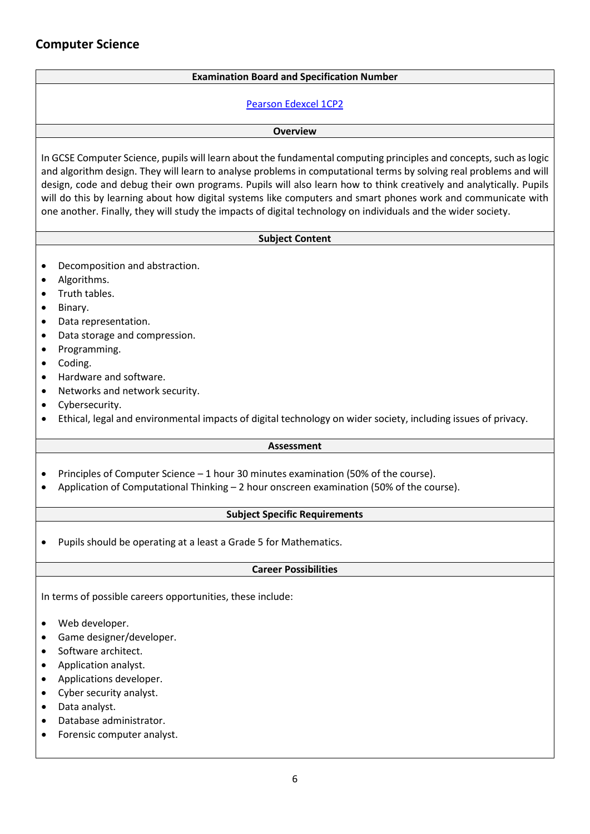# **Computer Science**

# **Examination Board and Specification Number**

# [Pearson Edexcel 1CP2](https://qualifications.pearson.com/content/dam/pdf/GCSE/Computer%20Science/2020/specification-and-sample-assessments/GCSE_L1_L2_Computer_Science_2020_Specification.pdf)

#### **Overview**

In GCSE Computer Science, pupils will learn about the fundamental computing principles and concepts, such as logic and algorithm design. They will learn to analyse problems in computational terms by solving real problems and will design, code and debug their own programs. Pupils will also learn how to think creatively and analytically. Pupils will do this by learning about how digital systems like computers and smart phones work and communicate with one another. Finally, they will study the impacts of digital technology on individuals and the wider society.

# **Subject Content**

- Decomposition and abstraction.
- Algorithms.
- Truth tables.
- Binary.
- Data representation.
- Data storage and compression.
- Programming.
- Coding.
- Hardware and software.
- Networks and network security.
- Cybersecurity.
- Ethical, legal and environmental impacts of digital technology on wider society, including issues of privacy.

#### **Assessment**

- Principles of Computer Science 1 hour 30 minutes examination (50% of the course).
- Application of Computational Thinking 2 hour onscreen examination (50% of the course).

# **Subject Specific Requirements**

• Pupils should be operating at a least a Grade 5 for Mathematics.

# **Career Possibilities**

- Web developer.
- Game designer/developer.
- Software architect.
- Application analyst.
- Applications developer.
- Cyber security analyst.
- Data analyst.
- Database administrator.
- Forensic computer analyst.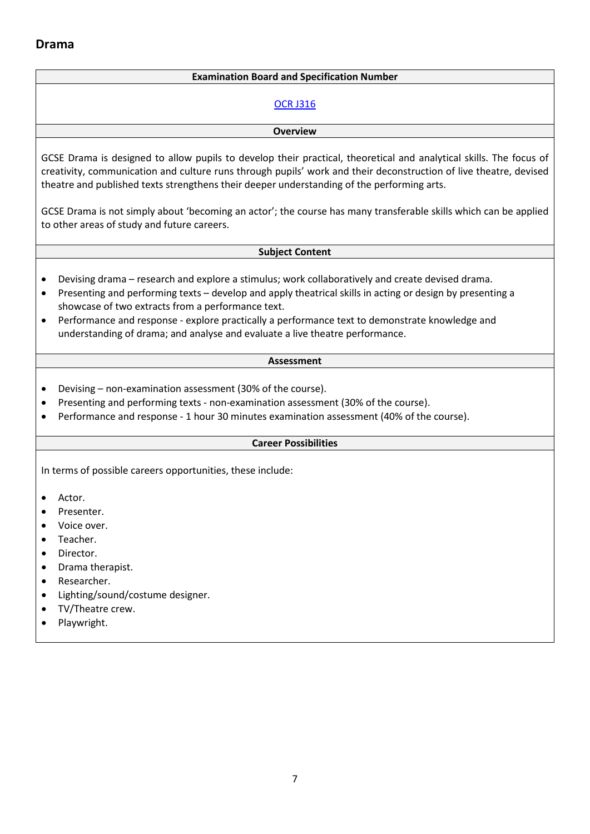# **Drama**

#### **Examination Board and Specification Number**

# [OCR J316](https://www.ocr.org.uk/Images/242630-specification-accredited-gcse-drama-j316.pdf)

#### **Overview**

GCSE Drama is designed to allow pupils to develop their practical, theoretical and analytical skills. The focus of creativity, communication and culture runs through pupils' work and their deconstruction of live theatre, devised theatre and published texts strengthens their deeper understanding of the performing arts.

GCSE Drama is not simply about 'becoming an actor'; the course has many transferable skills which can be applied to other areas of study and future careers.

# **Subject Content**

- Devising drama research and explore a stimulus; work collaboratively and create devised drama.
- Presenting and performing texts develop and apply theatrical skills in acting or design by presenting a showcase of two extracts from a performance text.
- Performance and response explore practically a performance text to demonstrate knowledge and understanding of drama; and analyse and evaluate a live theatre performance.

#### **Assessment**

- Devising non-examination assessment (30% of the course).
- Presenting and performing texts non-examination assessment (30% of the course).
- Performance and response 1 hour 30 minutes examination assessment (40% of the course).

# **Career Possibilities**

- Actor.
- Presenter.
- Voice over.
- Teacher.
- Director.
- Drama therapist.
- Researcher.
- Lighting/sound/costume designer.
- TV/Theatre crew.
- Playwright.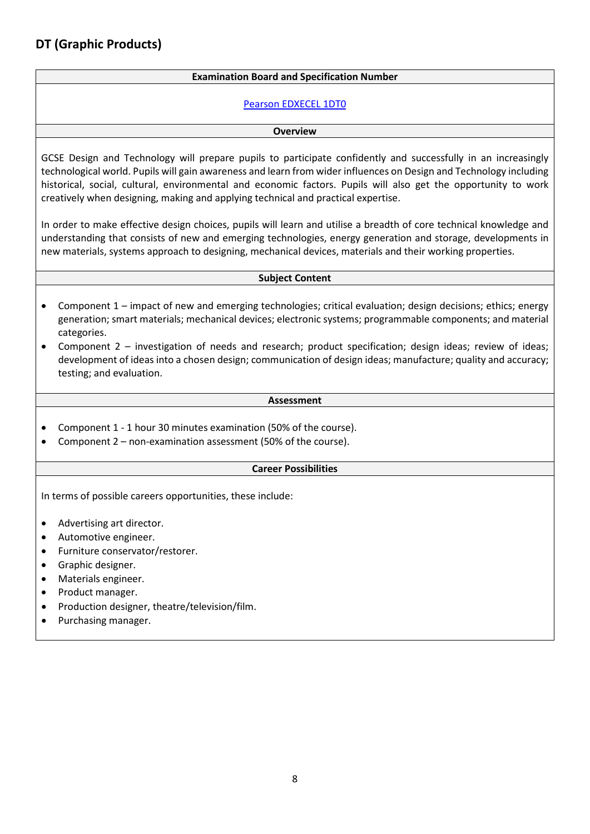# **DT (Graphic Products)**

# **Examination Board and Specification Number**

#### [Pearson EDXECEL 1DT0](https://qualifications.pearson.com/content/dam/pdf/GCSE/design-and-technology/2017/specification-and-sample-assessments/Specification-GCSE-L1-L2-in-Design-and-Technology.pdf)

#### **Overview**

GCSE Design and Technology will prepare pupils to participate confidently and successfully in an increasingly technological world. Pupils will gain awareness and learn from wider influences on Design and Technology including historical, social, cultural, environmental and economic factors. Pupils will also get the opportunity to work creatively when designing, making and applying technical and practical expertise.

In order to make effective design choices, pupils will learn and utilise a breadth of core technical knowledge and understanding that consists of new and emerging technologies, energy generation and storage, developments in new materials, systems approach to designing, mechanical devices, materials and their working properties.

#### **Subject Content**

- Component 1 impact of new and emerging technologies; critical evaluation; design decisions; ethics; energy generation; smart materials; mechanical devices; electronic systems; programmable components; and material categories.
- Component 2 investigation of needs and research; product specification; design ideas; review of ideas; development of ideas into a chosen design; communication of design ideas; manufacture; quality and accuracy; testing; and evaluation.

#### **Assessment**

- Component 1 1 hour 30 minutes examination (50% of the course).
- Component 2 non-examination assessment (50% of the course).

#### **Career Possibilities**

- Advertising art director.
- Automotive engineer.
- Furniture conservator/restorer.
- Graphic designer.
- Materials engineer.
- Product manager.
- Production designer, theatre/television/film.
- Purchasing manager.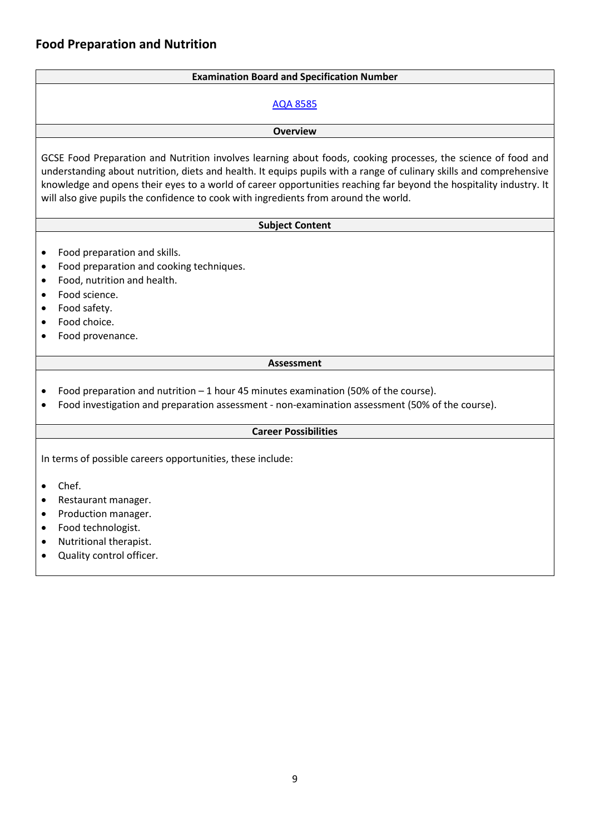# **Examination Board and Specification Number**

# [AQA 8585](http://filestore.aqa.org.uk/resources/food/specifications/AQA-8585-SP-2016.PDF)

#### **Overview**

GCSE Food Preparation and Nutrition involves learning about foods, cooking processes, the science of food and understanding about nutrition, diets and health. It equips pupils with a range of culinary skills and comprehensive knowledge and opens their eyes to a world of career opportunities reaching far beyond the hospitality industry. It will also give pupils the confidence to cook with ingredients from around the world.

#### **Subject Content**

- Food preparation and skills.
- Food preparation and cooking techniques.
- Food, nutrition and health.
- Food science.
- Food safety.
- Food choice.
- Food provenance.

#### **Assessment**

- Food preparation and nutrition 1 hour 45 minutes examination (50% of the course).
- Food investigation and preparation assessment non-examination assessment (50% of the course).

# **Career Possibilities**

- Chef.
- Restaurant manager.
- Production manager.
- Food technologist.
- Nutritional therapist.
- Quality control officer.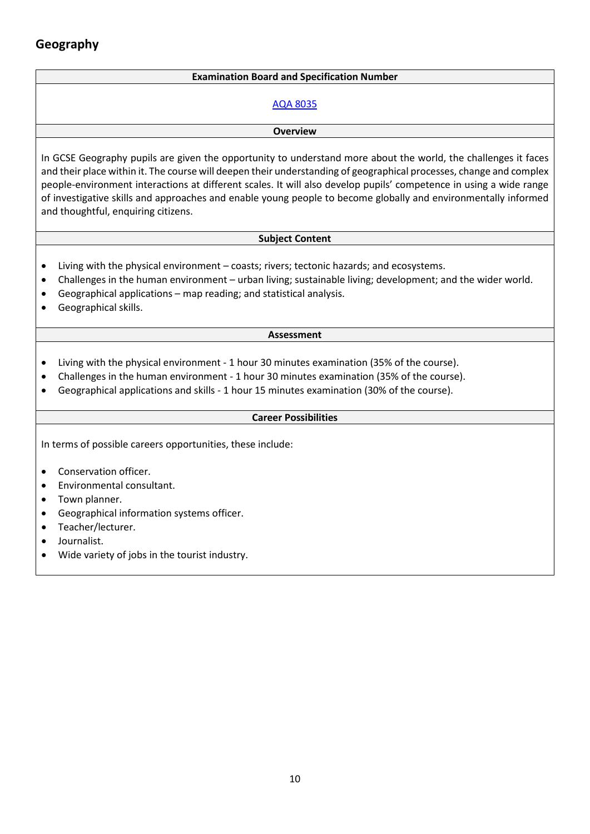# **Geography**

# **Examination Board and Specification Number**

# [AQA 8035](https://filestore.aqa.org.uk/resources/geography/specifications/AQA-8035-SP-2016.PDF)

#### **Overview**

In GCSE Geography pupils are given the opportunity to understand more about the world, the challenges it faces and their place within it. The course will deepen their understanding of geographical processes, change and complex people-environment interactions at different scales. It will also develop pupils' competence in using a wide range of investigative skills and approaches and enable young people to become globally and environmentally informed and thoughtful, enquiring citizens.

# **Subject Content**

- Living with the physical environment coasts; rivers; tectonic hazards; and ecosystems.
- Challenges in the human environment urban living; sustainable living; development; and the wider world.
- Geographical applications map reading; and statistical analysis.
- Geographical skills.

#### **Assessment**

- Living with the physical environment 1 hour 30 minutes examination (35% of the course).
- Challenges in the human environment 1 hour 30 minutes examination (35% of the course).
- Geographical applications and skills 1 hour 15 minutes examination (30% of the course).

#### **Career Possibilities**

- Conservation officer.
- Environmental consultant.
- Town planner.
- Geographical information systems officer.
- Teacher/lecturer.
- Journalist.
- Wide variety of jobs in the tourist industry.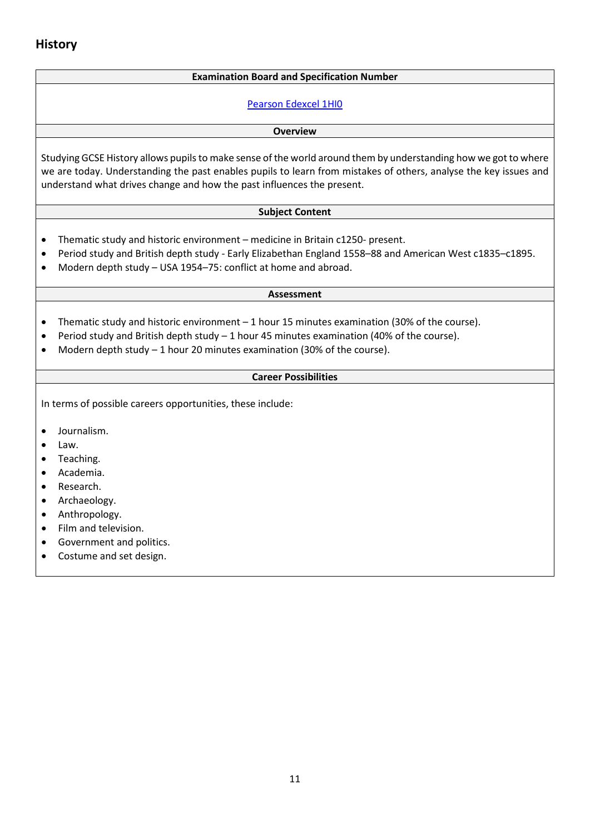# **History**

# **Examination Board and Specification Number**

#### [Pearson Edexcel 1HI0](https://qualifications.pearson.com/content/dam/pdf/GCSE/History/2016/specification-and-sample-assessments/GCSE_History_(9-1)_Specification_Issue_2.pdf)

#### **Overview**

Studying GCSE History allows pupils to make sense of the world around them by understanding how we got to where we are today. Understanding the past enables pupils to learn from mistakes of others, analyse the key issues and understand what drives change and how the past influences the present.

# **Subject Content**

- Thematic study and historic environment medicine in Britain c1250- present.
- Period study and British depth study Early Elizabethan England 1558–88 and American West c1835–c1895.
- Modern depth study USA 1954–75: conflict at home and abroad.

#### **Assessment**

- Thematic study and historic environment 1 hour 15 minutes examination (30% of the course).
- Period study and British depth study  $-1$  hour 45 minutes examination (40% of the course).
- Modern depth study  $-1$  hour 20 minutes examination (30% of the course).

#### **Career Possibilities**

- Journalism.
- Law.
- Teaching.
- Academia.
- Research.
- Archaeology.
- Anthropology.
- Film and television.
- Government and politics.
- Costume and set design.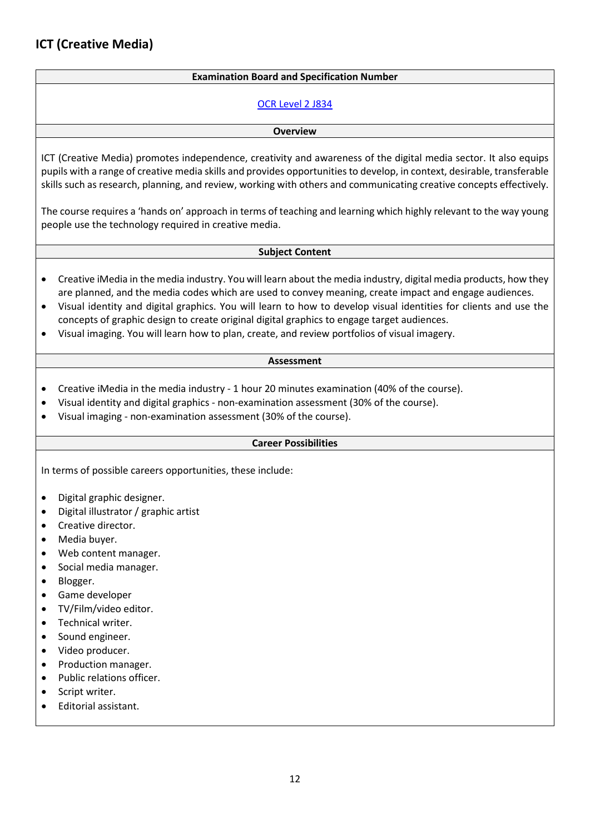# **ICT (Creative Media)**

# **Examination Board and Specification Number**

#### [OCR Level 2 J834](https://ocr.org.uk/Images/610942-specification-cambridge-nationals-creative-imedia-j834.pdf?hsCtaTracking=f5b3f6ca-c0f5-4f00-8bd5-797f055a45db%7Cfd6adf3d-4865-4068-8fd3-0d014e560d7a)

#### **Overview**

ICT (Creative Media) promotes independence, creativity and awareness of the digital media sector. It also equips pupils with a range of creative media skills and provides opportunities to develop, in context, desirable, transferable skills such as research, planning, and review, working with others and communicating creative concepts effectively.

The course requires a 'hands on' approach in terms of teaching and learning which highly relevant to the way young people use the technology required in creative media.

# **Subject Content**

- Creative iMedia in the media industry. You will learn about the media industry, digital media products, how they are planned, and the media codes which are used to convey meaning, create impact and engage audiences.
- Visual identity and digital graphics. You will learn to how to develop visual identities for clients and use the concepts of graphic design to create original digital graphics to engage target audiences.
- Visual imaging. You will learn how to plan, create, and review portfolios of visual imagery.

#### **Assessment**

- Creative iMedia in the media industry 1 hour 20 minutes examination (40% of the course).
- Visual identity and digital graphics non-examination assessment (30% of the course).
- Visual imaging non-examination assessment (30% of the course).

#### **Career Possibilities**

- Digital graphic designer.
- Digital illustrator / graphic artist
- Creative director.
- Media buyer.
- Web content manager.
- Social media manager.
- Blogger.
- Game developer
- TV/Film/video editor.
- Technical writer.
- Sound engineer.
- Video producer.
- Production manager.
- Public relations officer.
- Script writer.
- Editorial assistant.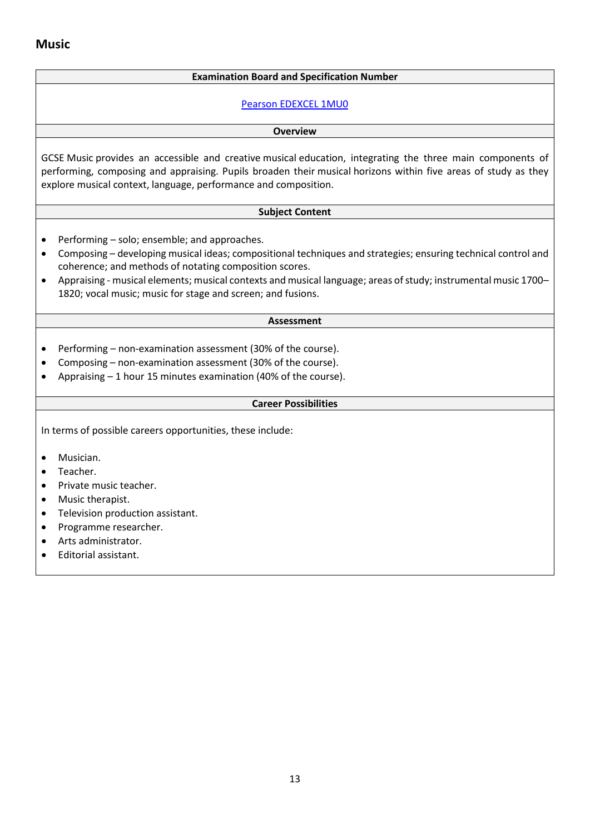**Music**

#### **Examination Board and Specification Number**

#### [Pearson EDEXCEL 1MU0](https://qualifications.pearson.com/content/dam/pdf/GCSE/Music/2016/specification/Specification_GCSE_L1-L2_in_Music.pdf)

#### **Overview**

GCSE Music provides an accessible and creative musical education, integrating the three main components of performing, composing and appraising. Pupils broaden their musical horizons within five areas of study as they explore musical context, language, performance and composition.

#### **Subject Content**

- Performing solo; ensemble; and approaches.
- Composing developing musical ideas; compositional techniques and strategies; ensuring technical control and coherence; and methods of notating composition scores.
- Appraising musical elements; musical contexts and musical language; areas of study; instrumental music 1700– 1820; vocal music; music for stage and screen; and fusions.

#### **Assessment**

- Performing non-examination assessment (30% of the course).
- Composing non-examination assessment (30% of the course).
- Appraising 1 hour 15 minutes examination (40% of the course).

#### **Career Possibilities**

- Musician.
- Teacher.
- Private music teacher.
- Music therapist.
- Television production assistant.
- Programme researcher.
- Arts administrator.
- Editorial assistant.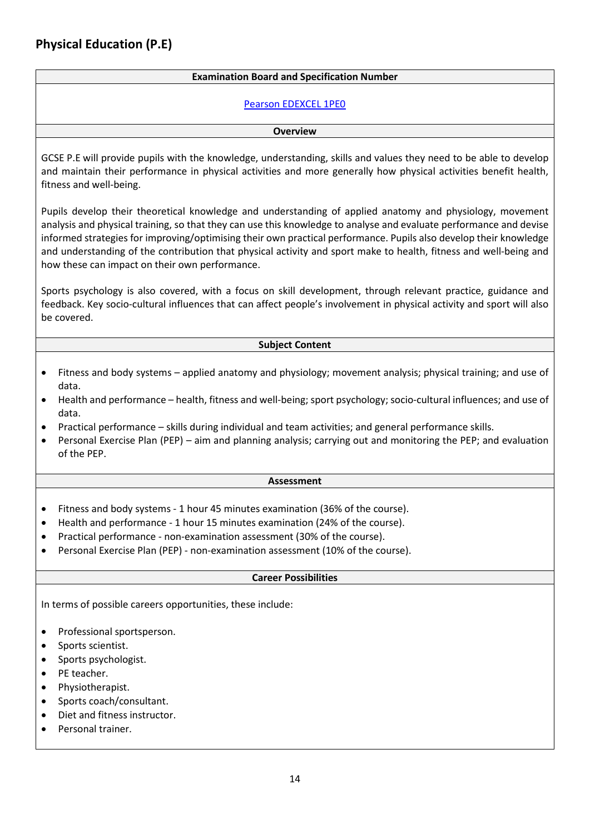# **Examination Board and Specification Number**

#### [Pearson EDEXCEL 1PE0](https://qualifications.pearson.com/content/dam/pdf/GCSE/Physical%20Education/2016/Specification%20and%20sample%20assessments/GCSE-physical-education-2016-specification.pdf)

#### **Overview**

GCSE P.E will provide pupils with the knowledge, understanding, skills and values they need to be able to develop and maintain their performance in physical activities and more generally how physical activities benefit health, fitness and well-being.

Pupils develop their theoretical knowledge and understanding of applied anatomy and physiology, movement analysis and physical training, so that they can use this knowledge to analyse and evaluate performance and devise informed strategies for improving/optimising their own practical performance. Pupils also develop their knowledge and understanding of the contribution that physical activity and sport make to health, fitness and well-being and how these can impact on their own performance.

Sports psychology is also covered, with a focus on skill development, through relevant practice, guidance and feedback. Key socio-cultural influences that can affect people's involvement in physical activity and sport will also be covered.

#### **Subject Content**

- Fitness and body systems applied anatomy and physiology; movement analysis; physical training; and use of data.
- Health and performance health, fitness and well-being; sport psychology; socio-cultural influences; and use of data.
- Practical performance skills during individual and team activities; and general performance skills.
- Personal Exercise Plan (PEP) aim and planning analysis; carrying out and monitoring the PEP; and evaluation of the PEP.

#### **Assessment**

- Fitness and body systems 1 hour 45 minutes examination (36% of the course).
- Health and performance 1 hour 15 minutes examination (24% of the course).
- Practical performance non-examination assessment (30% of the course).
- Personal Exercise Plan (PEP) non-examination assessment (10% of the course).

#### **Career Possibilities**

- Professional sportsperson.
- Sports scientist.
- Sports psychologist.
- PE teacher.
- Physiotherapist.
- Sports coach/consultant.
- Diet and fitness instructor.
- Personal trainer.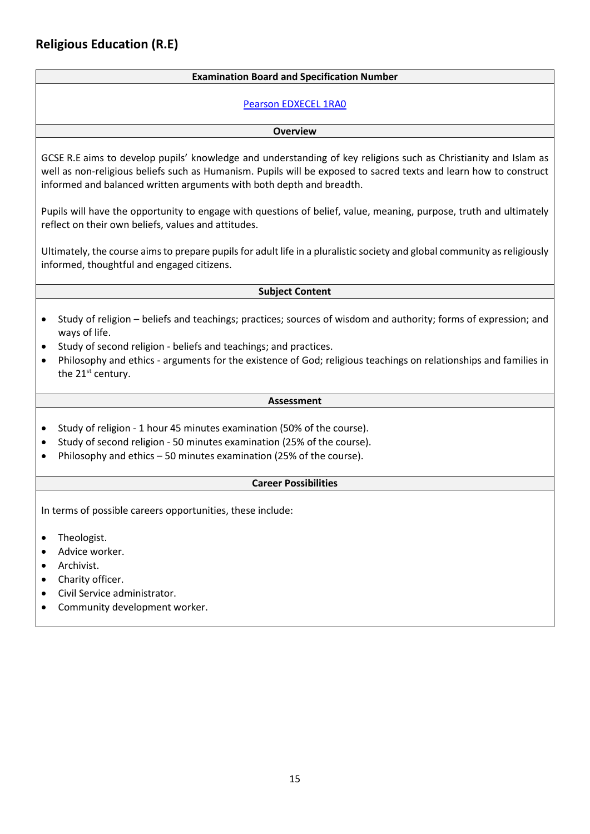# **Examination Board and Specification Number**

# [Pearson EDXECEL 1RA0](https://qualifications.pearson.com/content/dam/pdf/GCSE/Religious%20Studies/2016/Specification%20and%20sample%20assessments/Specification-GCSE-L1-L2-Religious-Studies-A-June-2016-Draft-4.pdf)

#### **Overview**

GCSE R.E aims to develop pupils' knowledge and understanding of key religions such as Christianity and Islam as well as non-religious beliefs such as Humanism. Pupils will be exposed to sacred texts and learn how to construct informed and balanced written arguments with both depth and breadth.

Pupils will have the opportunity to engage with questions of belief, value, meaning, purpose, truth and ultimately reflect on their own beliefs, values and attitudes.

Ultimately, the course aims to prepare pupils for adult life in a pluralistic society and global community as religiously informed, thoughtful and engaged citizens.

# **Subject Content**

- Study of religion beliefs and teachings; practices; sources of wisdom and authority; forms of expression; and ways of life.
- Study of second religion beliefs and teachings; and practices.
- Philosophy and ethics arguments for the existence of God; religious teachings on relationships and families in the 21<sup>st</sup> century.

#### **Assessment**

- Study of religion 1 hour 45 minutes examination (50% of the course).
- Study of second religion 50 minutes examination (25% of the course).
- Philosophy and ethics 50 minutes examination (25% of the course).

# **Career Possibilities**

- Theologist.
- Advice worker.
- Archivist.
- Charity officer.
- Civil Service administrator.
- Community development worker.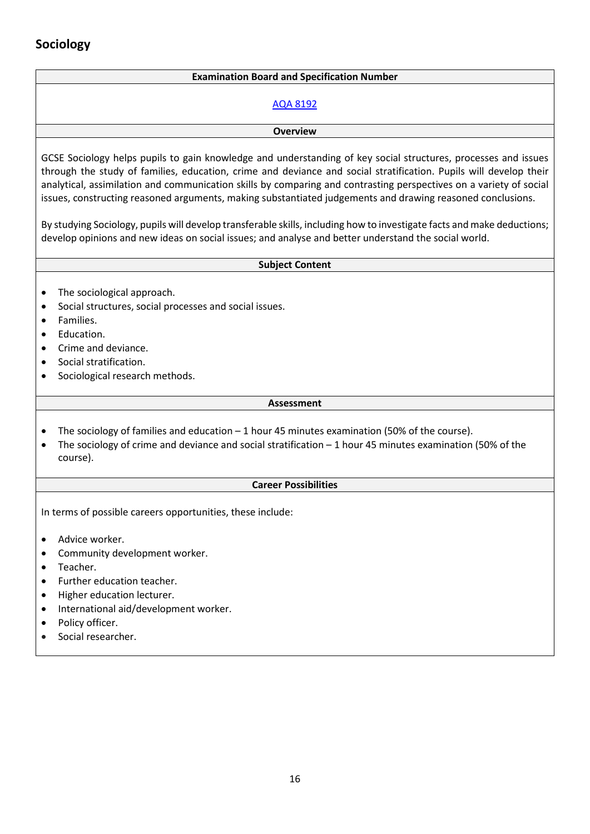# **Sociology**

# **Examination Board and Specification Number**

# [AQA 8192](https://filestore.aqa.org.uk/resources/sociology/specifications/AQA-8192-SP-2017.PDF)

#### **Overview**

GCSE Sociology helps pupils to gain knowledge and understanding of key social structures, processes and issues through the study of families, education, crime and deviance and social stratification. Pupils will develop their analytical, assimilation and communication skills by comparing and contrasting perspectives on a variety of social issues, constructing reasoned arguments, making substantiated judgements and drawing reasoned conclusions.

By studying Sociology, pupils will develop transferable skills, including how to investigate facts and make deductions; develop opinions and new ideas on social issues; and analyse and better understand the social world.

# **Subject Content**

- The sociological approach.
- Social structures, social processes and social issues.
- Families.
- Education.
- Crime and deviance.
- Social stratification.
- Sociological research methods.

#### **Assessment**

- The sociology of families and education 1 hour 45 minutes examination (50% of the course).
- The sociology of crime and deviance and social stratification 1 hour 45 minutes examination (50% of the course).

# **Career Possibilities**

- Advice worker.
- Community development worker.
- Teacher.
- Further education teacher.
- Higher education lecturer.
- International aid/development worker.
- Policy officer.
- Social researcher.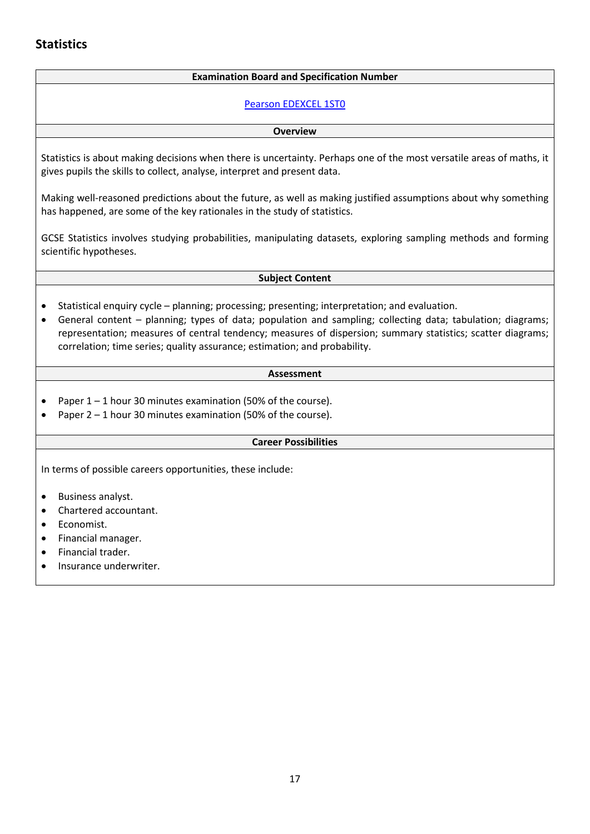# **Statistics**

# **Examination Board and Specification Number**

# [Pearson EDEXCEL 1ST0](https://qualifications.pearson.com/content/dam/pdf/GCSE/Statistics/2017/specification-and-sample-assessments/gcse-9-1-statistics-specification.pdf)

#### **Overview**

Statistics is about making decisions when there is uncertainty. Perhaps one of the most versatile areas of maths, it gives pupils the skills to collect, analyse, interpret and present data.

Making well-reasoned predictions about the future, as well as making justified assumptions about why something has happened, are some of the key rationales in the study of statistics.

GCSE Statistics involves studying probabilities, manipulating datasets, exploring sampling methods and forming scientific hypotheses.

#### **Subject Content**

- Statistical enquiry cycle planning; processing; presenting; interpretation; and evaluation.
- General content planning; types of data; population and sampling; collecting data; tabulation; diagrams; representation; measures of central tendency; measures of dispersion; summary statistics; scatter diagrams; correlation; time series; quality assurance; estimation; and probability.

# **Assessment**

- Paper  $1 1$  hour 30 minutes examination (50% of the course).
- Paper 2 1 hour 30 minutes examination (50% of the course).

# **Career Possibilities**

- Business analyst.
- Chartered accountant.
- Economist.
- Financial manager.
- Financial trader.
- Insurance underwriter.